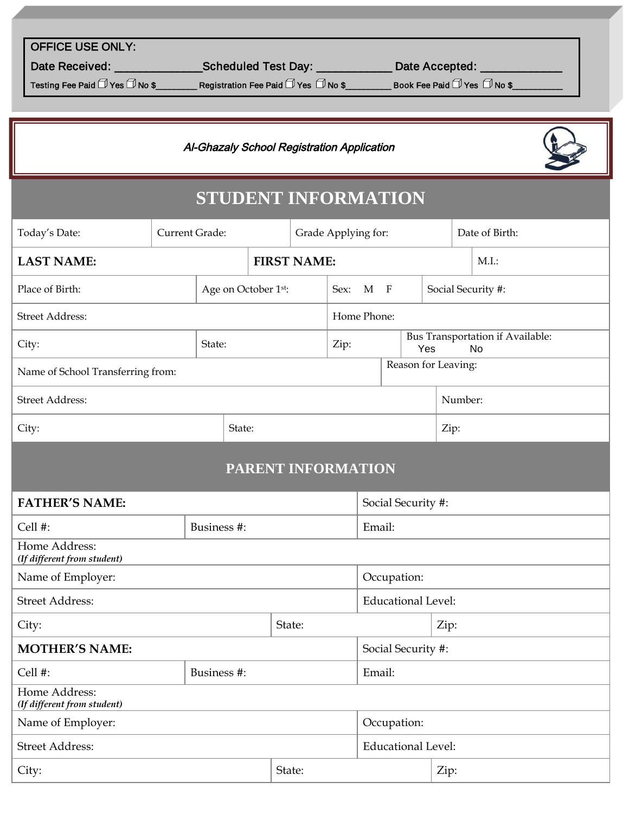| <b>OFFICE USE ONLY:</b> |  |  |
|-------------------------|--|--|
|                         |  |  |

Date Received: \_\_\_\_\_\_\_\_\_\_\_\_\_\_\_\_\_\_\_\_\_\_Scheduled Test Day: \_\_\_\_\_\_\_\_\_\_\_\_\_\_\_\_ Date Accepted: \_\_

Testing Fee Paid Yes No \$\_\_\_\_\_\_\_\_\_ Registration Fee Paid Yes No \$\_\_\_\_\_\_\_\_\_\_ Book Fee Paid Yes No \$\_\_\_\_\_\_\_\_\_\_\_

## <u>tu Caboal Posiatration Annliaction</u> Al-Ghazaly School Registration Application<br>.



## **STUDENT INFORMATION**

| Today's Date:                                |             | Current Grade: |                     |                           |             | Grade Applying for: |                              |         |                                                      |                    | Date of Birth: |  |
|----------------------------------------------|-------------|----------------|---------------------|---------------------------|-------------|---------------------|------------------------------|---------|------------------------------------------------------|--------------------|----------------|--|
| <b>FIRST NAME:</b><br><b>LAST NAME:</b>      |             |                |                     | M.I.                      |             |                     |                              |         |                                                      |                    |                |  |
| Place of Birth:                              |             |                | Age on October 1st: |                           |             | Sex:                | $\mathbf{M}$<br>$\mathbf{F}$ |         |                                                      | Social Security #: |                |  |
| <b>Street Address:</b>                       |             |                |                     |                           |             | Home Phone:         |                              |         |                                                      |                    |                |  |
| City:<br>State:                              |             |                |                     |                           | Zip:<br>Yes |                     |                              |         | <b>Bus Transportation if Available:</b><br><b>No</b> |                    |                |  |
| Name of School Transferring from:            |             |                |                     |                           |             |                     | Reason for Leaving:          |         |                                                      |                    |                |  |
| <b>Street Address:</b>                       |             |                |                     |                           |             |                     |                              | Number: |                                                      |                    |                |  |
| City:<br>State:                              |             |                |                     | Zip:                      |             |                     |                              |         |                                                      |                    |                |  |
|                                              |             |                |                     | PARENT INFORMATION        |             |                     |                              |         |                                                      |                    |                |  |
| <b>FATHER'S NAME:</b>                        |             |                |                     |                           |             |                     |                              |         |                                                      | Social Security #: |                |  |
| Cell #:                                      | Business #: |                |                     |                           | Email:      |                     |                              |         |                                                      |                    |                |  |
| Home Address:<br>(If different from student) |             |                |                     |                           |             |                     |                              |         |                                                      |                    |                |  |
| Name of Employer:                            |             |                |                     | Occupation:               |             |                     |                              |         |                                                      |                    |                |  |
| <b>Street Address:</b>                       |             |                |                     | <b>Educational Level:</b> |             |                     |                              |         |                                                      |                    |                |  |
| City:                                        |             |                | State:              |                           |             |                     | Zip:                         |         |                                                      |                    |                |  |
| <b>MOTHER'S NAME:</b>                        |             |                |                     | Social Security #:        |             |                     |                              |         |                                                      |                    |                |  |
| Cell #:<br>Business #:                       |             |                |                     | Email:                    |             |                     |                              |         |                                                      |                    |                |  |
| Home Address:<br>(If different from student) |             |                |                     |                           |             |                     |                              |         |                                                      |                    |                |  |
| Name of Employer:                            |             |                |                     | Occupation:               |             |                     |                              |         |                                                      |                    |                |  |
| <b>Street Address:</b>                       |             |                |                     | <b>Educational Level:</b> |             |                     |                              |         |                                                      |                    |                |  |

City:  $\qquad \qquad \text{City:} \qquad \qquad \text{Cip:}$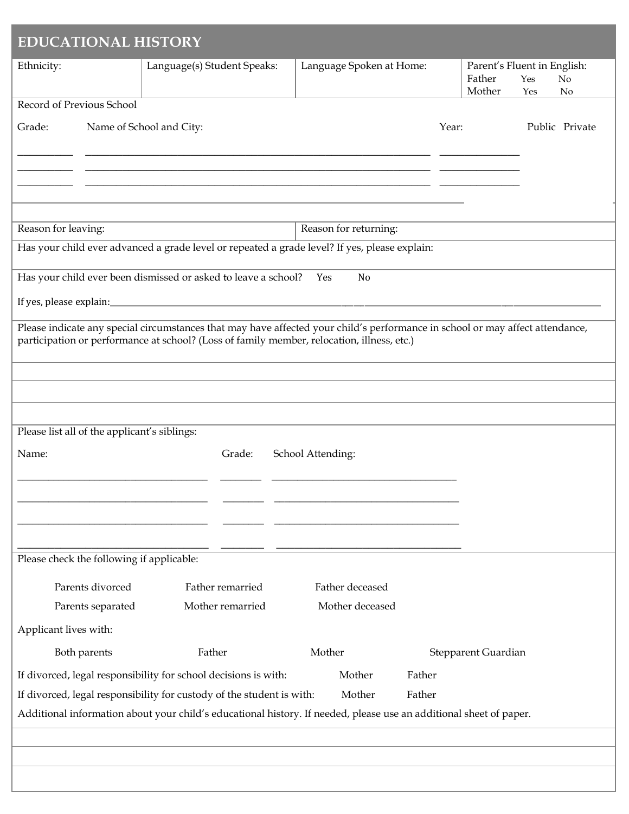| <b>EDUCATIONAL HISTORY</b>                                     |                                                                                                                                                                                                                             |                                    |       |                                                 |            |                |
|----------------------------------------------------------------|-----------------------------------------------------------------------------------------------------------------------------------------------------------------------------------------------------------------------------|------------------------------------|-------|-------------------------------------------------|------------|----------------|
| Ethnicity:                                                     | Language(s) Student Speaks:                                                                                                                                                                                                 | Language Spoken at Home:           |       | Parent's Fluent in English:<br>Father<br>Mother | Yes<br>Yes | No<br>No       |
| Record of Previous School                                      |                                                                                                                                                                                                                             |                                    |       |                                                 |            |                |
| Grade:                                                         | Name of School and City:                                                                                                                                                                                                    |                                    | Year: |                                                 |            | Public Private |
|                                                                |                                                                                                                                                                                                                             |                                    |       |                                                 |            |                |
| Reason for leaving:                                            |                                                                                                                                                                                                                             | Reason for returning:              |       |                                                 |            |                |
|                                                                | Has your child ever advanced a grade level or repeated a grade level? If yes, please explain:                                                                                                                               |                                    |       |                                                 |            |                |
|                                                                | Has your child ever been dismissed or asked to leave a school?                                                                                                                                                              | N <sub>0</sub><br>Yes              |       |                                                 |            |                |
|                                                                |                                                                                                                                                                                                                             |                                    |       |                                                 |            |                |
|                                                                | Please indicate any special circumstances that may have affected your child's performance in school or may affect attendance,<br>participation or performance at school? (Loss of family member, relocation, illness, etc.) |                                    |       |                                                 |            |                |
|                                                                |                                                                                                                                                                                                                             |                                    |       |                                                 |            |                |
|                                                                |                                                                                                                                                                                                                             |                                    |       |                                                 |            |                |
| Please list all of the applicant's siblings:<br>Name:          | Grade:                                                                                                                                                                                                                      | School Attending:                  |       |                                                 |            |                |
| Please check the following if applicable:                      |                                                                                                                                                                                                                             |                                    |       |                                                 |            |                |
| Parents divorced<br>Parents separated<br>Applicant lives with: | Father remarried<br>Mother remarried                                                                                                                                                                                        | Father deceased<br>Mother deceased |       |                                                 |            |                |
|                                                                |                                                                                                                                                                                                                             |                                    |       |                                                 |            |                |
| Both parents                                                   | Father                                                                                                                                                                                                                      | Mother                             |       | Stepparent Guardian                             |            |                |
|                                                                | If divorced, legal responsibility for school decisions is with:                                                                                                                                                             | Mother<br>Father                   |       |                                                 |            |                |
|                                                                | If divorced, legal responsibility for custody of the student is with:<br>Additional information about your child's educational history. If needed, please use an additional sheet of paper.                                 | Father<br>Mother                   |       |                                                 |            |                |
|                                                                |                                                                                                                                                                                                                             |                                    |       |                                                 |            |                |
|                                                                |                                                                                                                                                                                                                             |                                    |       |                                                 |            |                |
|                                                                |                                                                                                                                                                                                                             |                                    |       |                                                 |            |                |